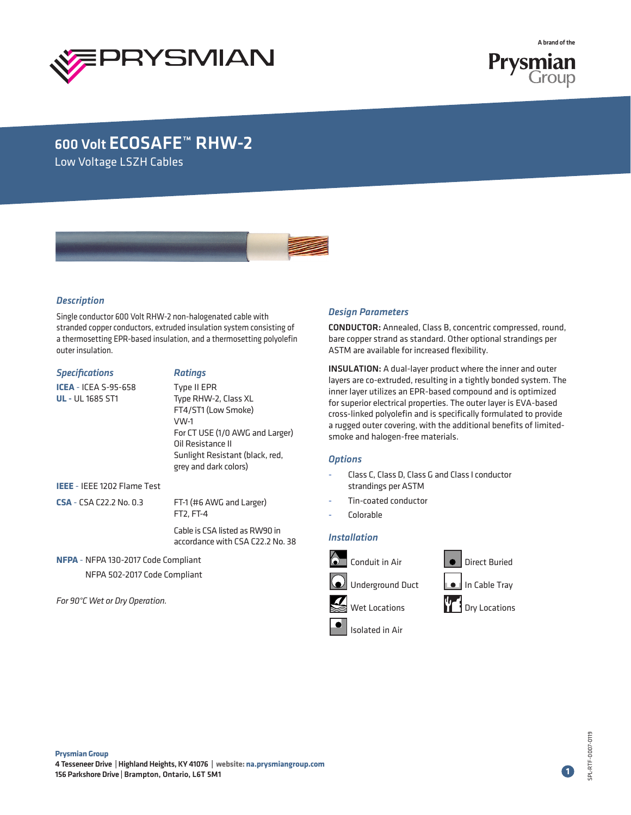



## 600 Volt ECOSAFE™ RHW-2

Low Voltage LSZH Cables



#### *Description*

Single conductor 600 Volt RHW-2 non-halogenated cable with stranded copper conductors, extruded insulation system consisting of a thermosetting EPR-based insulation, and a thermosetting polyolefin outer insulation.

| Specifications                                         | <b>Ratings</b>                                                                                                                                                                         |  |  |  |
|--------------------------------------------------------|----------------------------------------------------------------------------------------------------------------------------------------------------------------------------------------|--|--|--|
| <b>ICEA</b> - ICEA S-95-658<br><b>UL</b> - UL 1685 ST1 | Type II EPR<br>Type RHW-2, Class XL<br>FT4/ST1 (Low Smoke)<br>VW-1<br>For CT USE (1/0 AWG and Larger)<br>Oil Resistance II<br>Sunlight Resistant (black, red,<br>grey and dark colors) |  |  |  |
| IEEE - IEEE 1202 Flame Test                            |                                                                                                                                                                                        |  |  |  |
| <b>CSA</b> - CSA C22.2 No. 0.3                         | FT-1 (#6 AWG and Larger)<br>FT2, FT-4                                                                                                                                                  |  |  |  |
|                                                        | Cable is CSA listed as RW90 in<br>accordance with CSA C22.2 No. 38                                                                                                                     |  |  |  |

**NFPA** - NFPA 130-2017 Code Compliant NFPA 502-2017 Code Compliant

*For 90°C Wet or Dry Operation.*

#### *Design Parameters*

CONDUCTOR: Annealed, Class B, concentric compressed, round, bare copper strand as standard. Other optional strandings per ASTM are available for increased flexibility.

INSULATION: A dual-layer product where the inner and outer layers are co-extruded, resulting in a tightly bonded system. The inner layer utilizes an EPR-based compound and is optimized for superior electrical properties. The outer layer is EVA-based cross-linked polyolefin and is specifically formulated to provide a rugged outer covering, with the additional benefits of limitedsmoke and halogen-free materials.

#### *Options*

- Class C, Class D, Class G and Class I conductor strandings per ASTM
- Tin-coated conductor
- Colorable

### *Installation*



**1**